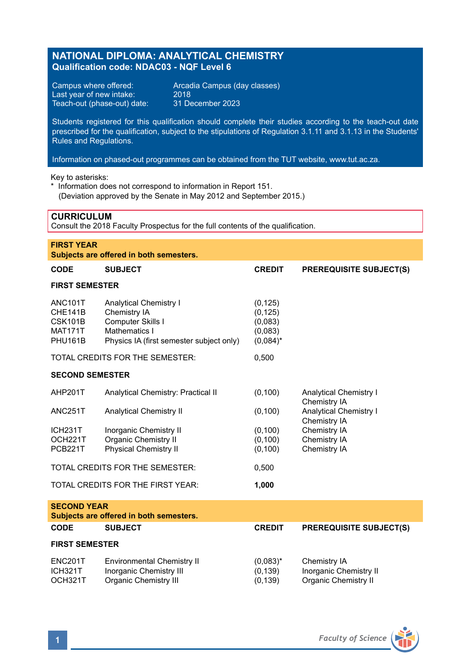# **NATIONAL DIPLOMA: ANALYTICAL CHEMISTRY Qualification code: NDAC03 - NQF Level 6**

Last year of new intake: 2018<br>Teach-out (phase-out) date: 31 December 2023 Teach-out (phase-out) date:

Campus where offered: <br>
Last year of new intake: 2018<br>
2018

Students registered for this qualification should complete their studies according to the teach-out date prescribed for the qualification, subject to the stipulations of Regulation 3.1.11 and 3.1.13 in the Students' Rules and Regulations.

Information on phased-out programmes can be obtained from the TUT website, www.tut.ac.za.

Key to asterisks:

\* Information does not correspond to information in Report 151. (Deviation approved by the Senate in May 2012 and September 2015.)

# **CURRICULUM**

Consult the 2018 Faculty Prospectus for the full contents of the qualification.

| <b>FIRST YEAR</b><br>Subjects are offered in both semesters.                   |                                                                                                                                 |                                                           |                                               |  |  |  |  |
|--------------------------------------------------------------------------------|---------------------------------------------------------------------------------------------------------------------------------|-----------------------------------------------------------|-----------------------------------------------|--|--|--|--|
| CODE                                                                           | <b>SUBJECT</b>                                                                                                                  | <b>CREDIT</b>                                             | <b>PREREQUISITE SUBJECT(S)</b>                |  |  |  |  |
| <b>FIRST SEMESTER</b>                                                          |                                                                                                                                 |                                                           |                                               |  |  |  |  |
| ANC <sub>101</sub> T<br>CHE141B<br><b>CSK101B</b><br><b>MAT171T</b><br>PHU161B | <b>Analytical Chemistry I</b><br>Chemistry IA<br>Computer Skills I<br>Mathematics I<br>Physics IA (first semester subject only) | (0, 125)<br>(0, 125)<br>(0,083)<br>(0,083)<br>$(0.084)^*$ |                                               |  |  |  |  |
|                                                                                | TOTAL CREDITS FOR THE SEMESTER:                                                                                                 | 0,500                                                     |                                               |  |  |  |  |
| <b>SECOND SEMESTER</b>                                                         |                                                                                                                                 |                                                           |                                               |  |  |  |  |
| AHP201T                                                                        | Analytical Chemistry: Practical II                                                                                              | (0, 100)                                                  | <b>Analytical Chemistry I</b><br>Chemistry IA |  |  |  |  |
| ANC <sub>251</sub> T                                                           | <b>Analytical Chemistry II</b>                                                                                                  | (0, 100)                                                  | <b>Analytical Chemistry I</b><br>Chemistry IA |  |  |  |  |
| ICH <sub>231</sub> T<br>OCH221T<br>PCB221T                                     | Inorganic Chemistry II<br><b>Organic Chemistry II</b><br><b>Physical Chemistry II</b>                                           | (0, 100)<br>(0, 100)<br>(0, 100)                          | Chemistry IA<br>Chemistry IA<br>Chemistry IA  |  |  |  |  |
|                                                                                | TOTAL CREDITS FOR THE SEMESTER:                                                                                                 | 0,500                                                     |                                               |  |  |  |  |
|                                                                                | TOTAL CREDITS FOR THE FIRST YEAR:                                                                                               | 1,000                                                     |                                               |  |  |  |  |
| <b>SECOND YEAR</b><br>Subjects are offered in both semesters.                  |                                                                                                                                 |                                                           |                                               |  |  |  |  |
| CODE                                                                           | <b>SUBJECT</b>                                                                                                                  | <b>CREDIT</b>                                             | <b>PREREQUISITE SUBJECT(S)</b>                |  |  |  |  |
| <b>FIRST SEMESTER</b>                                                          |                                                                                                                                 |                                                           |                                               |  |  |  |  |

| ENC <sub>201</sub> T | Environmental Chemistry II | $(0.083)^{*}$ | Chemistry IA           |
|----------------------|----------------------------|---------------|------------------------|
| ICH321T              | Inorganic Chemistry III    | (0, 139)      | Inorganic Chemistry II |
| OCH321T              | Organic Chemistry III      | (0, 139)      | Organic Chemistry II   |

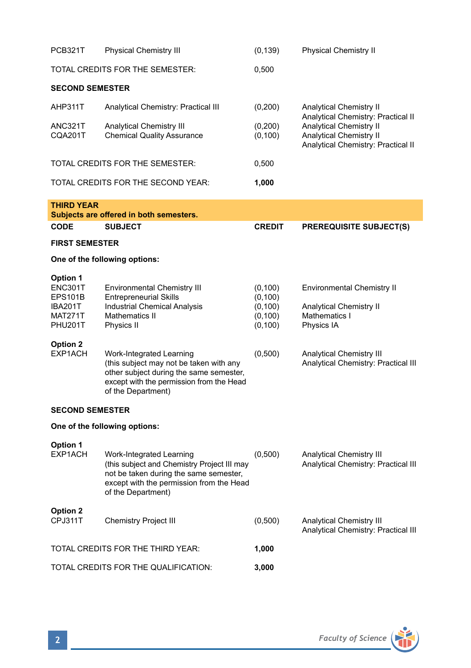| PCB321T                                                                       | <b>Physical Chemistry III</b>                                                                                                                                                       | (0, 139)                                                 | <b>Physical Chemistry II</b>                                                                       |  |  |  |  |
|-------------------------------------------------------------------------------|-------------------------------------------------------------------------------------------------------------------------------------------------------------------------------------|----------------------------------------------------------|----------------------------------------------------------------------------------------------------|--|--|--|--|
| TOTAL CREDITS FOR THE SEMESTER:                                               |                                                                                                                                                                                     | 0,500                                                    |                                                                                                    |  |  |  |  |
| <b>SECOND SEMESTER</b>                                                        |                                                                                                                                                                                     |                                                          |                                                                                                    |  |  |  |  |
| AHP311T                                                                       | Analytical Chemistry: Practical III                                                                                                                                                 | (0,200)                                                  | <b>Analytical Chemistry II</b><br>Analytical Chemistry: Practical II                               |  |  |  |  |
| ANC321T<br>CQA201T                                                            | Analytical Chemistry III<br><b>Chemical Quality Assurance</b>                                                                                                                       | (0, 200)<br>(0, 100)                                     | Analytical Chemistry II<br>Analytical Chemistry II<br>Analytical Chemistry: Practical II           |  |  |  |  |
|                                                                               | TOTAL CREDITS FOR THE SEMESTER:                                                                                                                                                     | 0,500                                                    |                                                                                                    |  |  |  |  |
|                                                                               | TOTAL CREDITS FOR THE SECOND YEAR:                                                                                                                                                  | 1,000                                                    |                                                                                                    |  |  |  |  |
| <b>THIRD YEAR</b>                                                             | Subjects are offered in both semesters.                                                                                                                                             |                                                          |                                                                                                    |  |  |  |  |
| CODE                                                                          | <b>SUBJECT</b>                                                                                                                                                                      | <b>CREDIT</b>                                            | <b>PREREQUISITE SUBJECT(S)</b>                                                                     |  |  |  |  |
| <b>FIRST SEMESTER</b>                                                         |                                                                                                                                                                                     |                                                          |                                                                                                    |  |  |  |  |
| One of the following options:                                                 |                                                                                                                                                                                     |                                                          |                                                                                                    |  |  |  |  |
| Option 1<br>ENC301T<br><b>EPS101B</b><br>IBA201T<br><b>MAT271T</b><br>PHU201T | <b>Environmental Chemistry III</b><br><b>Entrepreneurial Skills</b><br>Industrial Chemical Analysis<br>Mathematics II<br>Physics II                                                 | (0, 100)<br>(0, 100)<br>(0, 100)<br>(0, 100)<br>(0, 100) | <b>Environmental Chemistry II</b><br><b>Analytical Chemistry II</b><br>Mathematics I<br>Physics IA |  |  |  |  |
| Option 2<br>EXP1ACH                                                           | Work-Integrated Learning<br>(this subject may not be taken with any<br>other subject during the same semester,<br>except with the permission from the Head<br>of the Department)    | (0,500)                                                  | Analytical Chemistry III<br>Analytical Chemistry: Practical III                                    |  |  |  |  |
| <b>SECOND SEMESTER</b>                                                        |                                                                                                                                                                                     |                                                          |                                                                                                    |  |  |  |  |
| One of the following options:                                                 |                                                                                                                                                                                     |                                                          |                                                                                                    |  |  |  |  |
| Option 1<br>EXP1ACH                                                           | Work-Integrated Learning<br>(this subject and Chemistry Project III may<br>not be taken during the same semester,<br>except with the permission from the Head<br>of the Department) | (0,500)                                                  | <b>Analytical Chemistry III</b><br>Analytical Chemistry: Practical III                             |  |  |  |  |
| Option 2<br>CPJ311T                                                           | Chemistry Project III                                                                                                                                                               | (0,500)                                                  | Analytical Chemistry III<br>Analytical Chemistry: Practical III                                    |  |  |  |  |
| TOTAL CREDITS FOR THE THIRD YEAR:                                             |                                                                                                                                                                                     | 1,000                                                    |                                                                                                    |  |  |  |  |
| TOTAL CREDITS FOR THE QUALIFICATION:                                          |                                                                                                                                                                                     | 3,000                                                    |                                                                                                    |  |  |  |  |

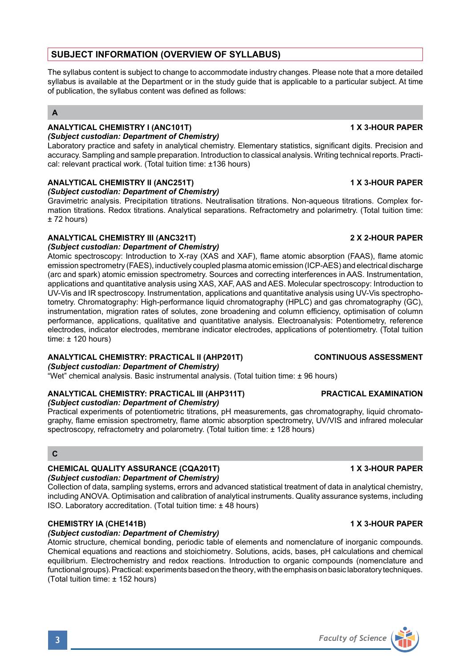# **SUBJECT INFORMATION (OVERVIEW OF SYLLABUS)**

The syllabus content is subject to change to accommodate industry changes. Please note that a more detailed syllabus is available at the Department or in the study guide that is applicable to a particular subject. At time of publication, the syllabus content was defined as follows:

# **A**

# **ANALYTICAL CHEMISTRY I (ANC101T) 1 X 3-HOUR PAPER**

*(Subject custodian: Department of Chemistry)* Laboratory practice and safety in analytical chemistry. Elementary statistics, significant digits. Precision and accuracy. Sampling and sample preparation. Introduction to classical analysis. Writing technical reports. Practical: relevant practical work. (Total tuition time: ±136 hours)

# **ANALYTICAL CHEMISTRY II (ANC251T) 1 X 3-HOUR PAPER**

*(Subject custodian: Department of Chemistry)*

Gravimetric analysis. Precipitation titrations. Neutralisation titrations. Non-aqueous titrations. Complex formation titrations. Redox titrations. Analytical separations. Refractometry and polarimetry. (Total tuition time: ± 72 hours)

# **ANALYTICAL CHEMISTRY III (ANC321T) 2 X 2-HOUR PAPER**

*(Subject custodian: Department of Chemistry)* Atomic spectroscopy: Introduction to X-ray (XAS and XAF), flame atomic absorption (FAAS), flame atomic emission spectrometry (FAES), inductively coupled plasma atomic emission (ICP-AES) and electrical discharge (arc and spark) atomic emission spectrometry. Sources and correcting interferences in AAS. Instrumentation, applications and quantitative analysis using XAS, XAF, AAS and AES. Molecular spectroscopy: Introduction to UV-Vis and IR spectroscopy. Instrumentation, applications and quantitative analysis using UV-Vis spectrophotometry. Chromatography: High-performance liquid chromatography (HPLC) and gas chromatography (GC), instrumentation, migration rates of solutes, zone broadening and column efficiency, optimisation of column performance, applications, qualitative and quantitative analysis. Electroanalysis: Potentiometry, reference electrodes, indicator electrodes, membrane indicator electrodes, applications of potentiometry. (Total tuition time:  $\pm$  120 hours)

# **ANALYTICAL CHEMISTRY: PRACTICAL II (AHP201T) CONTINUOUS ASSESSMENT**

*(Subject custodian: Department of Chemistry)*

"Wet" chemical analysis. Basic instrumental analysis. (Total tuition time: ± 96 hours)

# **ANALYTICAL CHEMISTRY: PRACTICAL III (AHP311T) PRACTICAL EXAMINATION**

*(Subject custodian: Department of Chemistry)*

Practical experiments of potentiometric titrations, pH measurements, gas chromatography, liquid chromatography, flame emission spectrometry, flame atomic absorption spectrometry, UV/VIS and infrared molecular spectroscopy, refractometry and polarometry. (Total tuition time: ± 128 hours)

# **C**

# **CHEMICAL QUALITY ASSURANCE (CQA201T) 1 X 3-HOUR PAPER**

# *(Subject custodian: Department of Chemistry)*

Collection of data, sampling systems, errors and advanced statistical treatment of data in analytical chemistry, including ANOVA. Optimisation and calibration of analytical instruments. Quality assurance systems, including ISO. Laboratory accreditation. (Total tuition time: ± 48 hours)

# **CHEMISTRY IA (CHE141B) 1 X 3-HOUR PAPER**

# *(Subject custodian: Department of Chemistry)*

Atomic structure, chemical bonding, periodic table of elements and nomenclature of inorganic compounds. Chemical equations and reactions and stoichiometry. Solutions, acids, bases, pH calculations and chemical equilibrium. Electrochemistry and redox reactions. Introduction to organic compounds (nomenclature and functional groups). Practical: experiments based on the theory, with the emphasis on basic laboratory techniques. (Total tuition time: ± 152 hours)

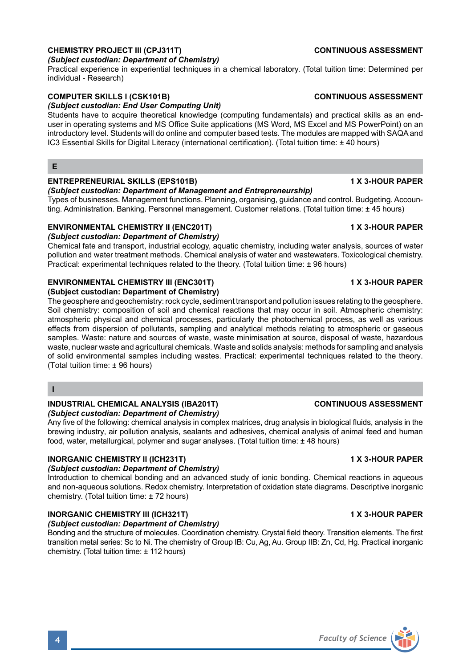# **CHEMISTRY PROJECT III (CPJ311T) CONTINUOUS ASSESSMENT**

# *(Subject custodian: Department of Chemistry)*

Practical experience in experiential techniques in a chemical laboratory. (Total tuition time: Determined per individual - Research)

### **COMPUTER SKILLS I (CSK101B) CONTINUOUS ASSESSMENT**

# *(Subject custodian: End User Computing Unit)*

Students have to acquire theoretical knowledge (computing fundamentals) and practical skills as an enduser in operating systems and MS Office Suite applications (MS Word, MS Excel and MS PowerPoint) on an introductory level. Students will do online and computer based tests. The modules are mapped with SAQA and IC3 Essential Skills for Digital Literacy (international certification). (Total tuition time: ± 40 hours)

**E**

# **ENTREPRENEURIAL SKILLS (EPS101B) 1 X 3-HOUR PAPER**

### *(Subject custodian: Department of Management and Entrepreneurship)*

Types of businesses. Management functions. Planning, organising, guidance and control. Budgeting. Accounting. Administration. Banking. Personnel management. Customer relations. (Total tuition time: ± 45 hours)

# **ENVIRONMENTAL CHEMISTRY II (ENC201T) 1 X 3-HOUR PAPER**

*(Subject custodian: Department of Chemistry)* Chemical fate and transport, industrial ecology, aquatic chemistry, including water analysis, sources of water pollution and water treatment methods. Chemical analysis of water and wastewaters. Toxicological chemistry. Practical: experimental techniques related to the theory. (Total tuition time: ± 96 hours)

# **ENVIRONMENTAL CHEMISTRY III (ENC301T) 1 X 3-HOUR PAPER**

### **(Subject custodian: Department of Chemistry)**

The geosphere and geochemistry: rock cycle, sediment transport and pollution issues relating to the geosphere. Soil chemistry: composition of soil and chemical reactions that may occur in soil. Atmospheric chemistry: atmospheric physical and chemical processes, particularly the photochemical process, as well as various effects from dispersion of pollutants, sampling and analytical methods relating to atmospheric or gaseous samples. Waste: nature and sources of waste, waste minimisation at source, disposal of waste, hazardous waste, nuclear waste and agricultural chemicals. Waste and solids analysis: methods for sampling and analysis of solid environmental samples including wastes. Practical: experimental techniques related to the theory. (Total tuition time: ± 96 hours)

**I**

### **INDUSTRIAL CHEMICAL ANALYSIS (IBA201T) CONTINUOUS ASSESSMENT** *(Subject custodian: Department of Chemistry)*

Any five of the following: chemical analysis in complex matrices, drug analysis in biological fluids, analysis in the brewing industry, air pollution analysis, sealants and adhesives, chemical analysis of animal feed and human food, water, metallurgical, polymer and sugar analyses. (Total tuition time: ± 48 hours)

# **INORGANIC CHEMISTRY II (ICH231T) 1 X 3-HOUR PAPER**

# *(Subject custodian: Department of Chemistry)*

Introduction to chemical bonding and an advanced study of ionic bonding. Chemical reactions in aqueous and non-aqueous solutions. Redox chemistry. Interpretation of oxidation state diagrams. Descriptive inorganic chemistry. (Total tuition time: ± 72 hours)

# **INORGANIC CHEMISTRY III (ICH321T) 1 X 3-HOUR PAPER**

*(Subject custodian: Department of Chemistry)* Bonding and the structure of molecules. Coordination chemistry. Crystal field theory. Transition elements. The first transition metal series: Sc to Ni. The chemistry of Group IB: Cu, Ag, Au. Group IIB: Zn, Cd, Hg. Practical inorganic chemistry. (Total tuition time: ± 112 hours)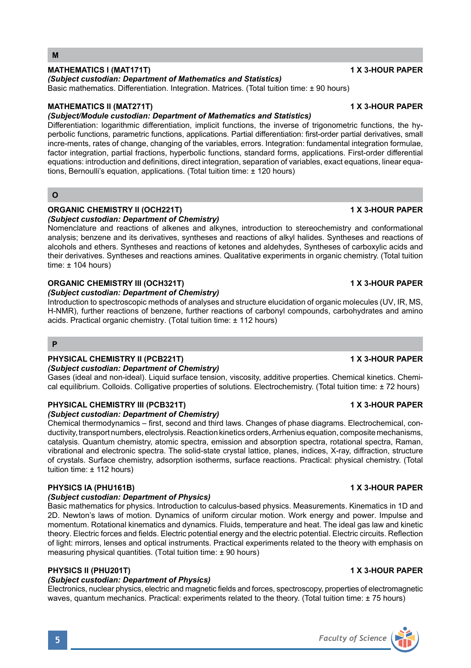### **MATHEMATICS I (MAT171T) 1 X 3-HOUR PAPER**

# *(Subject custodian: Department of Mathematics and Statistics)*

Basic mathematics. Differentiation. Integration. Matrices. (Total tuition time: ± 90 hours)

### **MATHEMATICS II (MAT271T) 1 X 3-HOUR PAPER**

### *(Subject/Module custodian: Department of Mathematics and Statistics)*

Differentiation: logarithmic differentiation, implicit functions, the inverse of trigonometric functions, the hyperbolic functions, parametric functions, applications. Partial differentiation: first-order partial derivatives, small incre-ments, rates of change, changing of the variables, errors. Integration: fundamental integration formulae, factor integration, partial fractions, hyperbolic functions, standard forms, applications. First-order differential equations: introduction and definitions, direct integration, separation of variables, exact equations, linear equations, Bernoulli's equation, applications. (Total tuition time: ± 120 hours)

### **O**

### **ORGANIC CHEMISTRY II (OCH221T) 1 X 3-HOUR PAPER** *(Subject custodian: Department of Chemistry)*

Nomenclature and reactions of alkenes and alkynes, introduction to stereochemistry and conformational analysis; benzene and its derivatives, syntheses and reactions of alkyl halides. Syntheses and reactions of alcohols and ethers. Syntheses and reactions of ketones and aldehydes, Syntheses of carboxylic acids and their derivatives. Syntheses and reactions amines. Qualitative experiments in organic chemistry. (Total tuition  $time: + 104$  hours)

### **ORGANIC CHEMISTRY III (OCH321T) 1 X 3-HOUR PAPER**

### *(Subject custodian: Department of Chemistry)*

Introduction to spectroscopic methods of analyses and structure elucidation of organic molecules (UV, IR, MS, H-NMR), further reactions of benzene, further reactions of carbonyl compounds, carbohydrates and amino acids. Practical organic chemistry. (Total tuition time: ± 112 hours)

### **P**

# **PHYSICAL CHEMISTRY II (PCB221T) 1 X 3-HOUR PAPER**

### *(Subject custodian: Department of Chemistry)*

Gases (ideal and non-ideal). Liquid surface tension, viscosity, additive properties. Chemical kinetics. Chemical equilibrium. Colloids. Colligative properties of solutions. Electrochemistry. (Total tuition time: ± 72 hours)

# **PHYSICAL CHEMISTRY III (PCB321T) 1 X 3-HOUR PAPER**

### *(Subject custodian: Department of Chemistry)*

Chemical thermodynamics – first, second and third laws. Changes of phase diagrams. Electrochemical, conductivity, transport numbers, electrolysis. Reaction kinetics orders, Arrhenius equation, composite mechanisms, catalysis. Quantum chemistry, atomic spectra, emission and absorption spectra, rotational spectra, Raman, vibrational and electronic spectra. The solid-state crystal lattice, planes, indices, X-ray, diffraction, structure of crystals. Surface chemistry, adsorption isotherms, surface reactions. Practical: physical chemistry. (Total tuition time: ± 112 hours)

# **PHYSICS IA (PHU161B) 1 X 3-HOUR PAPER**

# *(Subject custodian: Department of Physics)*

Basic mathematics for physics. Introduction to calculus-based physics. Measurements. Kinematics in 1D and 2D. Newton's laws of motion. Dynamics of uniform circular motion. Work energy and power. Impulse and momentum. Rotational kinematics and dynamics. Fluids, temperature and heat. The ideal gas law and kinetic theory. Electric forces and fields. Electric potential energy and the electric potential. Electric circuits. Reflection of light: mirrors, lenses and optical instruments. Practical experiments related to the theory with emphasis on measuring physical quantities. (Total tuition time: ± 90 hours)

# **PHYSICS II (PHU201T) 1 X 3-HOUR PAPER**

# *(Subject custodian: Department of Physics)*

Electronics, nuclear physics, electric and magnetic fields and forces, spectroscopy, properties of electromagnetic waves, quantum mechanics. Practical: experiments related to the theory. (Total tuition time: ± 75 hours)

# **5** *Faculty of Science*